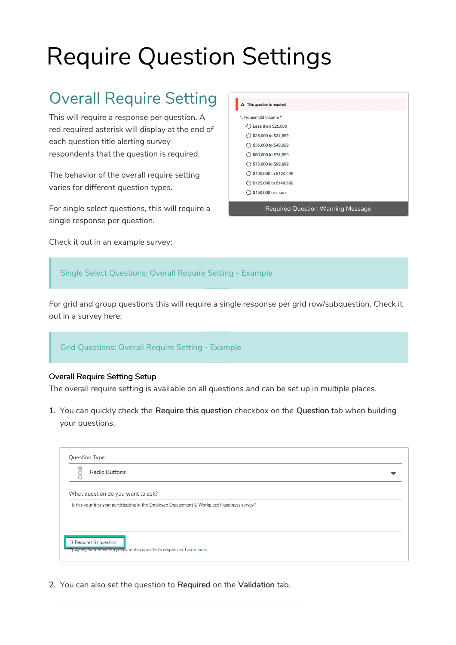# Require Question Settings

# Overall Require Setting

This will require a response per question. A red required asterisk will display at the end of each question title alerting survey respondents that the question is required.

The behavior of the overall require setting varies for different question types.

For single select questions, this will require a single response per question.

Check it out in an example survey:

| A This question is required       |
|-----------------------------------|
| 1. Household Income *             |
| $\bigcirc$ Less than \$25,000     |
| $\bigcirc$ \$25,000 to \$34,999   |
| $\bigcirc$ \$35,000 to \$49,999   |
| $\bigcirc$ \$50,000 to \$74,999   |
| ◯ \$75,000 to \$99,999            |
| ◯ \$100,000 to \$124,999          |
| ◯ \$125,000 to \$149,999          |
| $\bigcirc$ \$150,000 or more      |
| Required Question Warning Message |

Single Select Questions: Overall Require Setting - Example

For grid and group questions this will require a single response per grid row/subquestion. Check it out in a survey here:

Grid Questions: Overall Require Setting - Example

#### Overall Require Setting Setup

The overall require setting is available on all questions and can be set up in multiple places.

1. You can quickly check the Require this question checkbox on the Question tab when building your questions.

| Question Type<br>Radio Buttons                                                                                                      |  |
|-------------------------------------------------------------------------------------------------------------------------------------|--|
| What question do you want to ask?<br>Is this your first year participating in the Employee Engagement & Workplace Happiness survey? |  |
| $\Box$ Require this question<br>Apply data retention policy to this question's responses. Learn more.                               |  |

2. You can also set the question to Required on the Validation tab.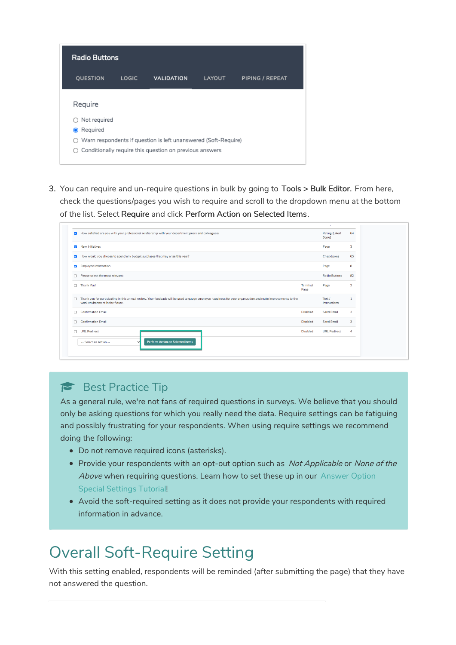|           | <b>Radio Buttons</b> |              |                                                                    |               |                 |
|-----------|----------------------|--------------|--------------------------------------------------------------------|---------------|-----------------|
|           | QUESTION             | <b>LOGIC</b> | <b>VALIDATION</b>                                                  | <b>LAYOUT</b> | PIPING / REPEAT |
| Require   |                      |              |                                                                    |               |                 |
|           | Not required         |              |                                                                    |               |                 |
| $\bullet$ | Reguired             |              |                                                                    |               |                 |
|           |                      |              | Warn respondents if question is left unanswered (Soft-Require)     |               |                 |
|           |                      |              | $\bigcirc$ Conditionally require this question on previous answers |               |                 |
|           |                      |              |                                                                    |               |                 |

3. You can require and un-require questions in bulk by going to Tools > Bulk Editor. From here, check the questions/pages you wish to require and scroll to the dropdown menu at the bottom of the list. Select Require and click Perform Action on Selected Items.

| How satisfied are you with your professional relationship with your department peers and colleagues?<br>$\overline{\mathbf{v}}$                                                                      |                         | Rating (Likert<br>Scale) | 64                      |
|------------------------------------------------------------------------------------------------------------------------------------------------------------------------------------------------------|-------------------------|--------------------------|-------------------------|
| <b>New Initiatives</b><br>$\overline{\mathbf{v}}$                                                                                                                                                    |                         | Page                     | 3                       |
| How would you choose to spend any budget surpluses that may arise this year?<br>$\overline{\mathbf{v}}$                                                                                              |                         | Checkboxes               | 65                      |
| <b>Employee Information</b><br>$\overline{\mathcal{L}}$                                                                                                                                              |                         | Page                     | 8                       |
| Please select the most relevant:                                                                                                                                                                     |                         | <b>Radio Buttons</b>     | 82                      |
| Thank You!                                                                                                                                                                                           | <b>Terminal</b><br>Page | Page                     | $\overline{\mathbf{2}}$ |
| Thank you for participating in this annual review. Your feedback will be used to gauge employee happiness for your organization and make improvements to the<br>n<br>work environment in the future. |                         | Text /<br>Instructions   | 1                       |
| <b>Confirmation Email</b>                                                                                                                                                                            | <b>Disabled</b>         | <b>Send Email</b>        | $\overline{2}$          |
| <b>Confirmation Email</b>                                                                                                                                                                            | <b>Disabled</b>         | Send Email               | 3                       |
| <b>URL Redirect</b>                                                                                                                                                                                  | <b>Disabled</b>         | <b>URL Redirect</b>      | 4                       |
| <b>Perform Action on Selected Items</b><br>-- Select an Action --                                                                                                                                    |                         |                          |                         |

### Best Practice Tip

As a general rule, we're not fans of required questions in surveys. We believe that you should only be asking questions for which you really need the data. Require settings can be fatiguing and possibly frustrating for your respondents. When using require settings we recommend doing the following:

- Do not remove required icons (asterisks).
- Provide your respondents with an opt-out option such as Not Applicable or None of the Above when requiring questions. Learn how to set these up in our Answer Option Special Settings Tutorial!
- Avoid the soft-required setting as it does not provide your respondents with required information in advance.

### Overall Soft-Require Setting

With this setting enabled, respondents will be reminded (after submitting the page) that they have not answered the question.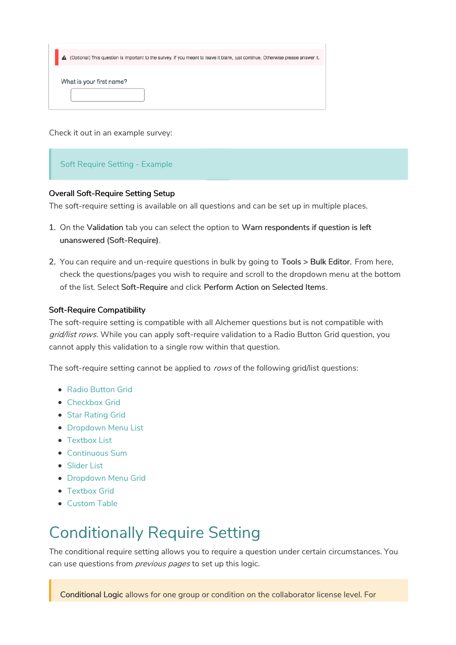|                          | A (Optional) This question is important to the survey. If you meant to leave it blank, just continue. Otherwise please answer it. |
|--------------------------|-----------------------------------------------------------------------------------------------------------------------------------|
| What is your first name? |                                                                                                                                   |
|                          |                                                                                                                                   |
|                          |                                                                                                                                   |

Check it out in an example survey:

#### Soft Require Setting - Example

#### Overall Soft-Require Setting Setup

The soft-require setting is available on all questions and can be set up in multiple places.

- 1. On the Validation tab you can select the option to Warn respondents if question is left unanswered (Soft-Require).
- 2. You can require and un-require questions in bulk by going to Tools > Bulk Editor. From here, check the questions/pages you wish to require and scroll to the dropdown menu at the bottom of the list. Select Soft-Require and click Perform Action on Selected Items.

#### Soft-Require Compatibility

The soft-require setting is compatible with all Alchemer questions but is not compatible with grid/list rows. While you can apply soft-require validation to a Radio Button Grid question, you cannot apply this validation to a single row within that question.

The soft-require setting cannot be applied to rows of the following grid/list questions:

- Radio Button Grid
- Checkbox Grid
- Star Rating Grid
- **Dropdown Menu List**
- Textbox List
- Continuous Sum
- Slider List
- **Dropdown Menu Grid**
- Textbox Grid
- Custom Table

### Conditionally Require Setting

The conditional require setting allows you to require a question under certain circumstances. You can use questions from *previous pages* to set up this logic.

Conditional Logic allows for one group or condition on the collaborator license level. For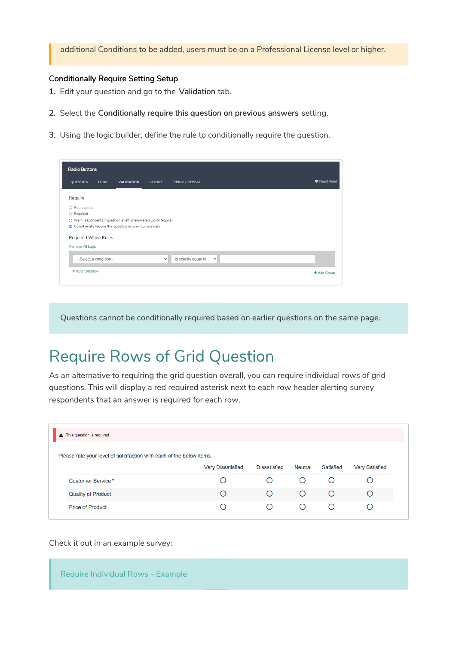additional Conditions to be added, users must be on a Professional License level or higher.

#### Conditionally Require Setting Setup

- 1. Edit your question and go to the Validation tab.
- 2. Select the Conditionally require this question on previous answers setting.
- 3. Using the logic builder, define the rule to conditionally require the question.

| QUESTION            | <b>LOGIC</b>           | <b>VALIDATION</b>                                                | LAYOUT      | PIPING / REPEAT     |             |  | ♥ Need Help? |
|---------------------|------------------------|------------------------------------------------------------------|-------------|---------------------|-------------|--|--------------|
| Require             |                        |                                                                  |             |                     |             |  |              |
| ○ Not required      |                        |                                                                  |             |                     |             |  |              |
| ○ Required          |                        |                                                                  |             |                     |             |  |              |
|                     |                        | ○ Warn respondents if question is left unanswered (Soft-Require) |             |                     |             |  |              |
|                     |                        | ● Conditionally require this question on previous answers        |             |                     |             |  |              |
|                     |                        |                                                                  |             |                     |             |  |              |
| Required When Rules |                        |                                                                  |             |                     |             |  |              |
| Remove All Logic    |                        |                                                                  |             |                     |             |  |              |
|                     |                        |                                                                  | $\check{~}$ | is exactly equal to | $\check{ }$ |  |              |
|                     | --Select a condition-- |                                                                  |             |                     |             |  |              |

Questions cannot be conditionally required based on earlier questions on the same page.

### Require Rows of Grid Question

As an alternative to requiring the grid question overall, you can require individual rows of grid questions. This will display a red required asterisk next to each row header alerting survey respondents that an answer is required for each row.

| A This question is required                                          |                          |                     |                  |           |                       |
|----------------------------------------------------------------------|--------------------------|---------------------|------------------|-----------|-----------------------|
| Please rate your level of satisfaction with each of the below items. |                          |                     |                  |           |                       |
|                                                                      | <b>Very Dissatisfied</b> | <b>Dissatisfied</b> | Neutral          | Satisfied | <b>Very Satisfied</b> |
| Customer Service *                                                   |                          |                     | $\left( \right)$ | ( )       |                       |
| <b>Quality of Product</b>                                            |                          | ∩                   | ∩                | Ω         | ◯                     |
| <b>Price of Product</b>                                              |                          | ◯                   | $\left( \right)$ | ( )       |                       |

Check it out in an example survey:

Require Individual Rows - Example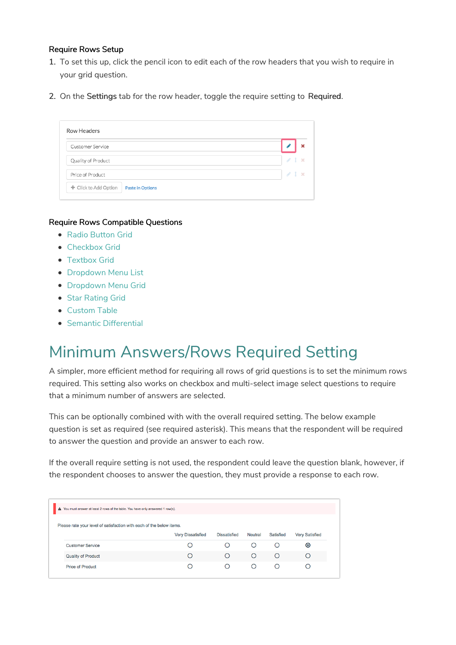#### Require Rows Setup

- 1. To set this up, click the pencil icon to edit each of the row headers that you wish to require in your grid question.
- 2. On the Settings tab for the row header, toggle the require setting to Required.

| Customer Service   |    |          |
|--------------------|----|----------|
| Quality of Product | F. | $\infty$ |
| Price of Product   | P. | $1 - x$  |

#### Require Rows Compatible Questions

- Radio Button Grid
- Checkbox Grid
- Textbox Grid
- Dropdown Menu List
- **Dropdown Menu Grid**
- Star Rating Grid
- Custom Table
- Semantic Differential

### Minimum Answers/Rows Required Setting

A simpler, more efficient method for requiring all rows of grid questions is to set the minimum rows required. This setting also works on checkbox and multi-select image select questions to require that a minimum number of answers are selected.

This can be optionally combined with with the overall required setting. The below example question is set as required (see required asterisk). This means that the respondent will be required to answer the question and provide an answer to each row.

If the overall require setting is not used, the respondent could leave the question blank, however, if the respondent chooses to answer the question, they must provide a response to each row.

| A You must answer at least 2 rows of the table. You have only answered 1 row(s). |                          |                     |         |           |                       |
|----------------------------------------------------------------------------------|--------------------------|---------------------|---------|-----------|-----------------------|
| Please rate your level of satisfaction with each of the below items.             |                          |                     |         |           |                       |
|                                                                                  | <b>Very Dissatisfied</b> | <b>Dissatisfied</b> | Neutral | Satisfied | <b>Very Satisfied</b> |
| <b>Customer Service</b>                                                          |                          |                     |         |           | $\bullet$             |
|                                                                                  |                          |                     |         |           |                       |
| <b>Quality of Product</b>                                                        | ◯                        |                     | ◠       | ⊂         |                       |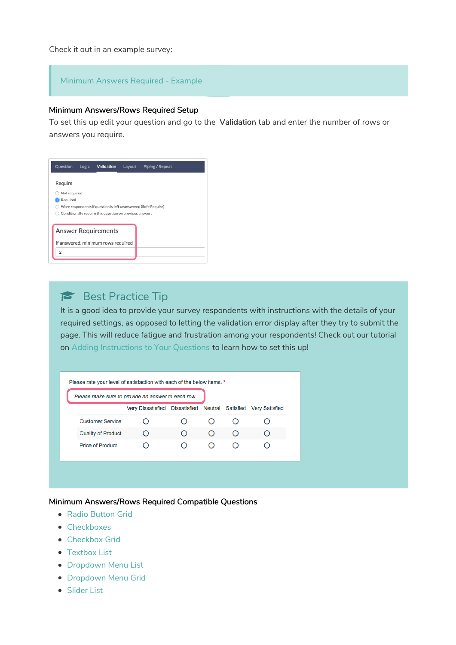Check it out in an example survey:

#### Minimum Answers Required - Example

#### Minimum Answers/Rows Required Setup

To set this up edit your question and go to the Validation tab and enter the number of rows or answers you require.

| Question       | Logic | Validation                                                     | Layout | Piping / Repeat |  |
|----------------|-------|----------------------------------------------------------------|--------|-----------------|--|
| Require        |       |                                                                |        |                 |  |
| Not required   |       |                                                                |        |                 |  |
| Required       |       |                                                                |        |                 |  |
|                |       | Warn respondents if question is left unanswered (Soft-Require) |        |                 |  |
|                |       | Conditionally require this question on previous answers        |        |                 |  |
|                |       |                                                                |        |                 |  |
|                |       | <b>Answer Requirements</b>                                     |        |                 |  |
|                |       | If answered, minimum rows required                             |        |                 |  |
| $\overline{2}$ |       |                                                                |        |                 |  |
|                |       |                                                                |        |                 |  |

### Best Practice Tip

It is a good idea to provide your survey respondents with instructions with the details of your required settings, as opposed to letting the validation error display after they try to submit the page. This will reduce fatigue and frustration among your respondents! Check out our tutorial on Adding Instructions to Your Questions to learn how to set this up!

| Please make sure to provide an answer to each row. |                                                                 |           |            |   |  |
|----------------------------------------------------|-----------------------------------------------------------------|-----------|------------|---|--|
|                                                    | Very Dissatisfied Dissatisfied Neutral Satisfied Very Satisfied |           |            |   |  |
| <b>Customer Service</b>                            |                                                                 |           |            |   |  |
| <b>Quality of Product</b>                          | $\bigcirc$                                                      | $\bigcap$ | $\bigcirc$ | O |  |
| <b>Price of Product</b>                            |                                                                 |           |            |   |  |
|                                                    |                                                                 |           |            |   |  |

#### Minimum Answers/Rows Required Compatible Questions

- Radio Button Grid
- Checkboxes
- Checkbox Grid
- Textbox List
- **Dropdown Menu List**
- **•** Dropdown Menu Grid
- Slider List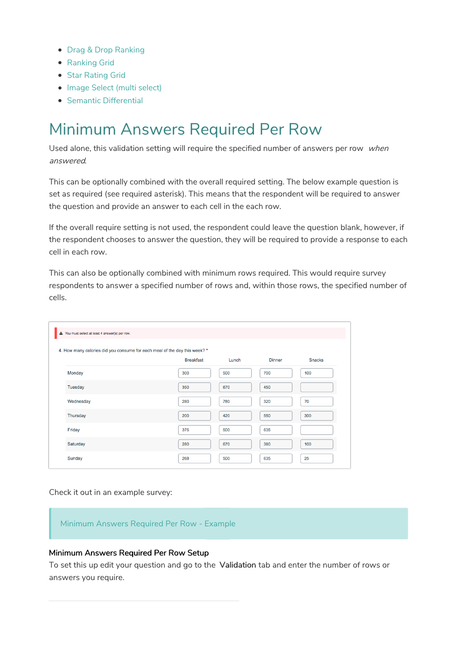- Drag & Drop Ranking
- Ranking Grid
- Star Rating Grid
- Image Select (multi select)
- Semantic Differential

### Minimum Answers Required Per Row

Used alone, this validation setting will require the specified number of answers per row when answered.

This can be optionally combined with the overall required setting. The below example question is set as required (see required asterisk). This means that the respondent will be required to answer the question and provide an answer to each cell in the each row.

If the overall require setting is not used, the respondent could leave the question blank, however, if the respondent chooses to answer the question, they will be required to provide a response to each cell in each row.

This can also be optionally combined with minimum rows required. This would require survey respondents to answer a specified number of rows and, within those rows, the specified number of cells.

| A You must select at least 4 answer(s) per row.                            |                  |       |               |               |
|----------------------------------------------------------------------------|------------------|-------|---------------|---------------|
| 4. How many calories did you consume for each meal of the day this week? * |                  |       |               |               |
|                                                                            | <b>Breakfast</b> | Lunch | <b>Dinner</b> | <b>Snacks</b> |
| Monday                                                                     | 300              | 500   | 700           | 100           |
| <b>Tuesday</b>                                                             | 350              | 670   | 450           |               |
| Wednesday                                                                  | 280              | 780   | 320           | 70            |
| Thursday                                                                   | 200              | 420   | 550           | 300           |
| Friday                                                                     | 375              | 500   | 635           |               |
| Saturday                                                                   | 280              | 670   | 380           | 100           |
| Sunday                                                                     | 268              | 500   | 635           | 25            |

Check it out in an example survey:

Minimum Answers Required Per Row - Example

#### Minimum Answers Required Per Row Setup

To set this up edit your question and go to the Validation tab and enter the number of rows or answers you require.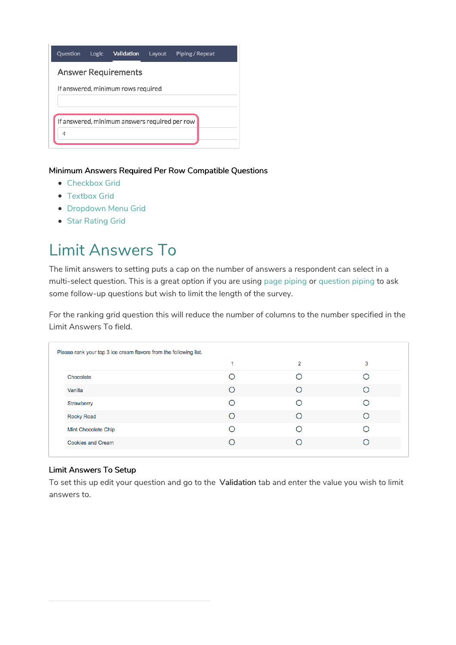

Minimum Answers Required Per Row Compatible Questions

- Checkbox Grid
- Textbox Grid
- **Dropdown Menu Grid**
- **Star Rating Grid**

## Limit Answers To

The limit answers to setting puts a cap on the number of answers a respondent can select in a multi-select question. This is a great option if you are using page piping or question piping to ask some follow-up questions but wish to limit the length of the survey.

For the ranking grid question this will reduce the number of columns to the number specified in the Limit Answers To field.

|                          | 2 | 3 |
|--------------------------|---|---|
| Chocolate                |   |   |
| Vanilla                  |   |   |
| Strawberry               |   |   |
| <b>Rocky Road</b>        |   |   |
| Mint Chocolate Chip      |   |   |
| <b>Cookies and Cream</b> |   |   |

#### Limit Answers To Setup

To set this up edit your question and go to the Validation tab and enter the value you wish to limit answers to.